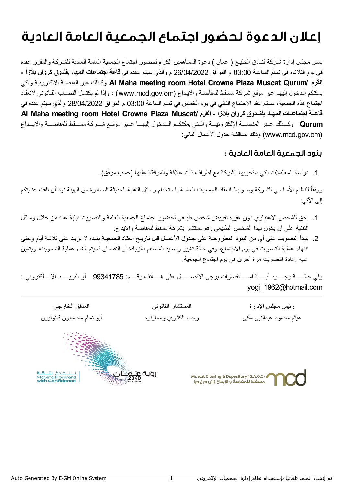## إعلان الدعوةلحضور اجتماع الجمعية العامة العادية

یسـر مجلس إدارة شـركة فنـادق الخلیـج ( عمان ) دعوة المساھمین الكرام لحضور اجتماع الجمعیة العامة العادیة للشـركة والمقرر عقده في یوم الثلاثاء في تمام الساعـة 03:00 م الموافق 26/04/2022 م والذي سیتم عقده في **قاعة اجتماعات المھا، بفندوق كروان بلازا -** والتي الإلكترونیة المنصـة عبر وكـذلك **Al Maha meeting room Hotel Crowne Plaza Muscat Qurum/ القرم** یمكنكم الـدخول إلیھـا عبر موقع شـركة مسـقط للمقاصـة والایـداع (om.gov.mcd.www (، وإذا لم یكتمـل النصـاب القـانوني لانعقاد اجتماع ھذه الجمعیة، سـیتم عقد الاجتماع الثاني في یوم الخمیس في تمام الساعة 03:00 م الموافق 28/04/2022 والذي سیتم عقده في **Al Maha meeting room Hotel Crowne Plaza Muscat/ القرم - بلاـزا كروان بفنــدوق ،المھـا اجتماعــات قاعــة Qurum** وكـــذلك عــبر المنصـــة الإلكترونیـــة والــتي یمكنكــم الـــدخول إلیھـــا عــبر موقــع شـــركة مســـقط للمقاصـــة والایـــداع (om.gov.mcd.www (وذلك لمناقشة جدول الأعمال التالي:

## بنودالجمعية العامة العادية :

.1 دراسة المعاملات التي ستجریھا الشركة مع اطراف ذات علاقة والموافقة علیھا (حسب مرفق).

ووفقاً للنظام الأساسـي للشـركـة وضـوابط انعقاد الجمعيات العامــة بـاسـتخدام وسائل التقنية الحديثـة الصـادرة من الهيئـة نود أن نلفت عنايتكم إلى الآتي:

- .1 یحق للشخص الاعتباري دون غیره تفویض شخص طبیعي لحضور اجتماع الجمعیة العامة والتصویت نیابة عنھ من خلال وسائل التقنیة على أن یكون لھذا الشخص الطبیعي رقم مستثمر بشركة مسقط للمقاصة والایداع.
- .2 یبـدأ التصویت على أي من البنود المطروحـة على جـدول الأعمـال قبل تاریـخ انعقاد الجمعیـة بمـدة لا تزیـد على ثلاثـة أیام وحتى انتھاء عملیة التصویت في یوم الاجتماع، وفي حالة تغییر رصـید المساھم بالزیادة أو النقصان فسیتم إلغاء عملیة التصویت، ویتعین علیھ إعادة التصویت مرة أخرى في یوم اجتماع الجمعیة.

وفي حالــــــة وجـــــود أیــــــة اســــــتفسارات یرجى الاتصــــــال على ھـــــاتف رقـــــم: 99341785 أو البریــــــد الإـــــلكتروني : yogi\_1962@hotmail.com

رئيس مجلس الإدار ة المستشار القانوني المدقق الخارجي ھیثم محمود عبدالنبى مكى رجب الكثیري ومعاونوه أبو تمام محاسبون قانونیون

رویـة <mark>عـُــم</mark><br>ووړه

Muscat Clearing & Depository (S.A.O.C) , مسقط للمقاصة و الإيداع (ه. م. م. .)<br>مسقط للمقاصة و الإيداع (ش.م.ع.م)